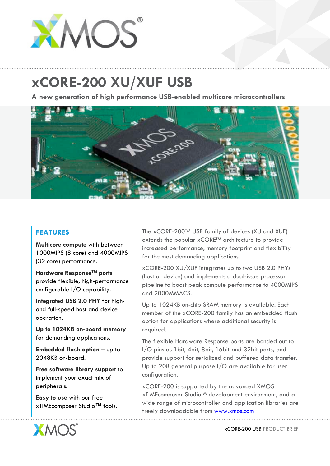

## **xCORE-200 XU/XUF USB**

**A new generation of high performance USB-enabled multicore microcontrollers**



## **FEATURES**

**Multicore compute** with between 1000MIPS (8 core) and 4000MIPS (32 core) performance.

**Hardware ResponseTM ports** provide flexible, high-performance configurable I/O capability.

**Integrated USB 2.0 PHY** for highand full-speed host and device operation.

**Up to 1024KB on-board memory** for demanding applications.

**Embedded flash option** – up to 2048KB on-board.

**Free software library support** to implement your exact mix of peripherals.

**Easy to use** with our free xTIMEcomposer Studio™ tools.



xCORE-200 XU/XUF integrates up to two USB 2.0 PHYs (host or device) and implements a dual-issue processor pipeline to boost peak compute performance to 4000MIPS and 2000MMACS.

Up to 1024KB on-chip SRAM memory is available. Each member of the xCORE-200 family has an embedded flash option for applications where additional security is required.

The flexible Hardware Response ports are bonded out to I/O pins as 1bit, 4bit, 8bit, 16bit and 32bit ports, and provide support for serialized and buffered data transfer. Up to 208 general purpose I/O are available for user configuration.

xCORE-200 is supported by the advanced XMOS xTIMEcomposer StudioTM development environment, and a wide range of microcontroller and application libraries are freely downloadable from www.xmos.com



xCORE-200 USB PRODUCT BRIEF